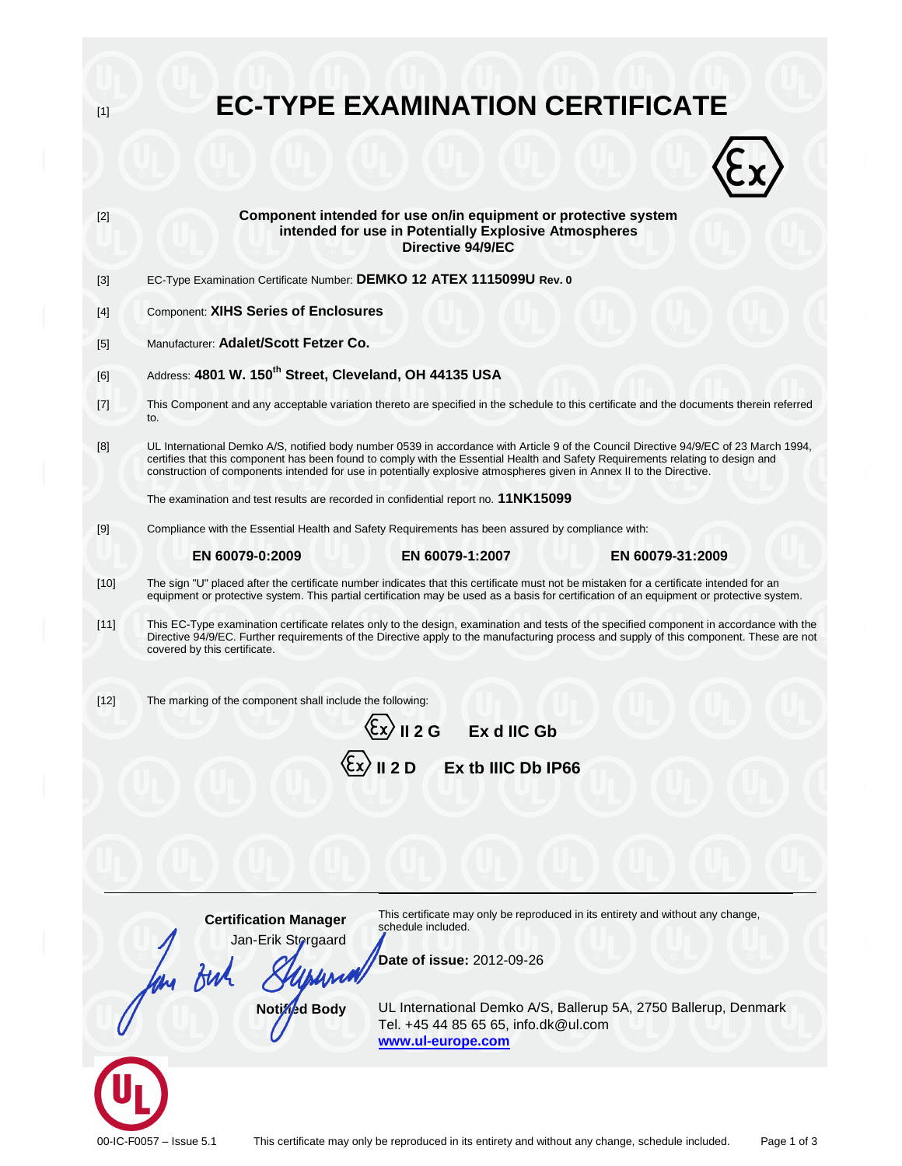| $[1]$  | <b>EC-TYPE EXAMINATION CERTIFICATE</b>                                                                                                                                                                                                                                                                                                                                                           |
|--------|--------------------------------------------------------------------------------------------------------------------------------------------------------------------------------------------------------------------------------------------------------------------------------------------------------------------------------------------------------------------------------------------------|
|        |                                                                                                                                                                                                                                                                                                                                                                                                  |
| $[2]$  | Component intended for use on/in equipment or protective system<br>intended for use in Potentially Explosive Atmospheres<br>Directive 94/9/EC                                                                                                                                                                                                                                                    |
| $[3]$  | EC-Type Examination Certificate Number: DEMKO 12 ATEX 1115099U Rev. 0                                                                                                                                                                                                                                                                                                                            |
| $[4]$  | <b>Component: XIHS Series of Enclosures</b>                                                                                                                                                                                                                                                                                                                                                      |
| [5]    | Manufacturer: Adalet/Scott Fetzer Co.                                                                                                                                                                                                                                                                                                                                                            |
| [6]    | Address: 4801 W. 150 <sup>th</sup> Street, Cleveland, OH 44135 USA                                                                                                                                                                                                                                                                                                                               |
| $[7]$  | This Component and any acceptable variation thereto are specified in the schedule to this certificate and the documents therein referred<br>to.                                                                                                                                                                                                                                                  |
| [8]    | UL International Demko A/S, notified body number 0539 in accordance with Article 9 of the Council Directive 94/9/EC of 23 March 1994,<br>certifies that this component has been found to comply with the Essential Health and Safety Requirements relating to design and<br>construction of components intended for use in potentially explosive atmospheres given in Annex II to the Directive. |
|        | The examination and test results are recorded in confidential report no. 11NK15099                                                                                                                                                                                                                                                                                                               |
| $[9]$  | Compliance with the Essential Health and Safety Requirements has been assured by compliance with:                                                                                                                                                                                                                                                                                                |
|        | EN 60079-0:2009<br>EN 60079-1:2007<br>EN 60079-31:2009                                                                                                                                                                                                                                                                                                                                           |
| $[10]$ | The sign "U" placed after the certificate number indicates that this certificate must not be mistaken for a certificate intended for an<br>equipment or protective system. This partial certification may be used as a basis for certification of an equipment or protective system.                                                                                                             |
| [11]   | This EC-Type examination certificate relates only to the design, examination and tests of the specified component in accordance with the<br>Directive 94/9/EC. Further requirements of the Directive apply to the manufacturing process and supply of this component. These are not<br>covered by this certificate.                                                                              |
| $[12]$ | The marking of the component shall include the following:                                                                                                                                                                                                                                                                                                                                        |
|        | $\langle \xi$ x $\rangle$ II 2 G<br>Ex d IIC Gb                                                                                                                                                                                                                                                                                                                                                  |
|        | $\langle \xi$ x $\rangle$ II 2 D<br>Ex tb IIIC Db IP66                                                                                                                                                                                                                                                                                                                                           |
|        |                                                                                                                                                                                                                                                                                                                                                                                                  |
|        |                                                                                                                                                                                                                                                                                                                                                                                                  |
|        |                                                                                                                                                                                                                                                                                                                                                                                                  |
|        |                                                                                                                                                                                                                                                                                                                                                                                                  |
|        | This certificate may only be reproduced in its entirety and without any change,<br><b>Certification Manager</b><br>schedule included.                                                                                                                                                                                                                                                            |
|        | Jan-Erik Storgaard<br>Date of issue: 2012-09-26                                                                                                                                                                                                                                                                                                                                                  |
|        |                                                                                                                                                                                                                                                                                                                                                                                                  |
|        | Notined Body<br>UL International Demko A/S, Ballerup 5A, 2750 Ballerup, Denmark<br>Tel. +45 44 85 65 65, info.dk@ul.com<br>www.ul-europe.com                                                                                                                                                                                                                                                     |
|        |                                                                                                                                                                                                                                                                                                                                                                                                  |
|        |                                                                                                                                                                                                                                                                                                                                                                                                  |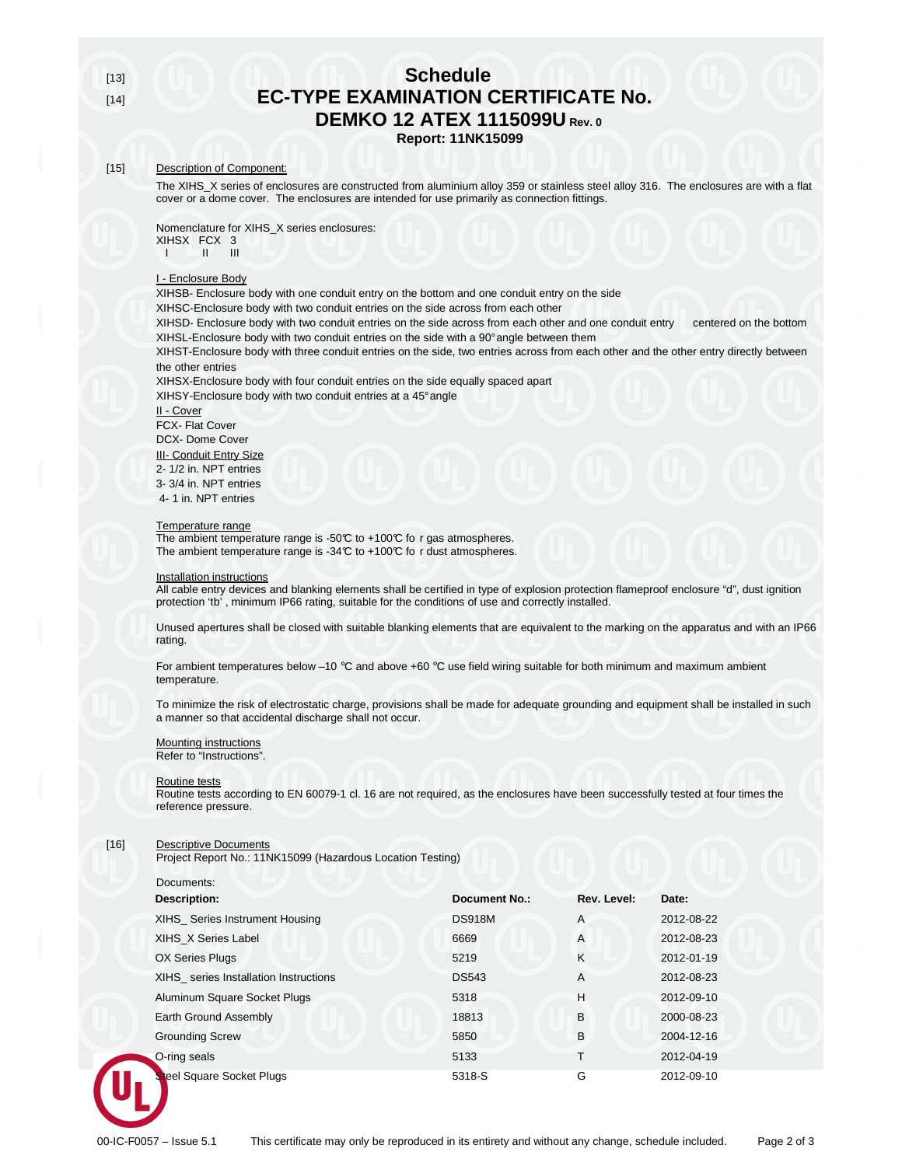# [13] **Schedule EC-TYPE EXAMINATION CERTIFICATE No. DEMKO 12 ATEX 1115099U Rev. 0**

**Report: 11NK15099** 

## [15] Description of Component:

The XIHS\_X series of enclosures are constructed from aluminium alloy 359 or stainless steel alloy 316. The enclosures are with a flat cover or a dome cover. The enclosures are intended for use primarily as connection fittings.

Nomenclature for XIHS\_X series enclosures: XIHSX FCX 3  $I \circ I = II$  III

#### I - Enclosure Body

XIHSB- Enclosure body with one conduit entry on the bottom and one conduit entry on the side

XIHSC-Enclosure body with two conduit entries on the side across from each other

XIHSD- Enclosure body with two conduit entries on the side across from each other and one conduit entry centered on the bottom XIHSL-Enclosure body with two conduit entries on the side with a 90° angle between them

XIHST-Enclosure body with three conduit entries on the side, two entries across from each other and the other entry directly between the other entries

XIHSX-Enclosure body with four conduit entries on the side equally spaced apart XIHSY-Enclosure body with two conduit entries at a 45° angle

II - Cover

FCX- Flat Cover DCX- Dome Cover **III- Conduit Entry Size** 2- 1/2 in. NPT entries 3- 3/4 in. NPT entries 4- 1 in. NPT entries

#### Temperature range

The ambient temperature range is -50°C to +100°C fo r gas atmospheres. The ambient temperature range is -34°C to +100°C fo r dust atmospheres.

#### Installation instructions

All cable entry devices and blanking elements shall be certified in type of explosion protection flameproof enclosure "d", dust ignition protection 'tb' , minimum IP66 rating, suitable for the conditions of use and correctly installed.

Unused apertures shall be closed with suitable blanking elements that are equivalent to the marking on the apparatus and with an IP66 rating.

For ambient temperatures below -10  $^{\circ}$ C and above +60  $^{\circ}$ C use field wiring suitable for both minimum and maximum ambient temperature.

To minimize the risk of electrostatic charge, provisions shall be made for adequate grounding and equipment shall be installed in such a manner so that accidental discharge shall not occur.

## Mounting instructions

Refer to "Instructions".

#### Routine tests

Routine tests according to EN 60079-1 cl. 16 are not required, as the enclosures have been successfully tested at four times the reference pressure.

#### [16] Descriptive Documents

Project Report No.: 11NK15099 (Hazardous Location Testing)

 Documents: **Description:** Date: **Description:** Date: **Description: Description: Date:** Date: XIHS\_ Series Instrument Housing DS918M A 2012-08-22 XIHS\_X Series Label 6669 A 2012-08-23 OX Series Plugs 5219 K 32012-01-19 XIHS\_ series Installation Instructions DS543 A 2012-08-23 Aluminum Square Socket Plugs 5318 H 2012-09-10 Earth Ground Assembly 18813 B 2000-08-23 **Grounding Screw 5850 B 2004-12-16**  O-ring seals 5133 T 2012-04-19 el Square Socket Plugs 6318-S G 2012-09-10